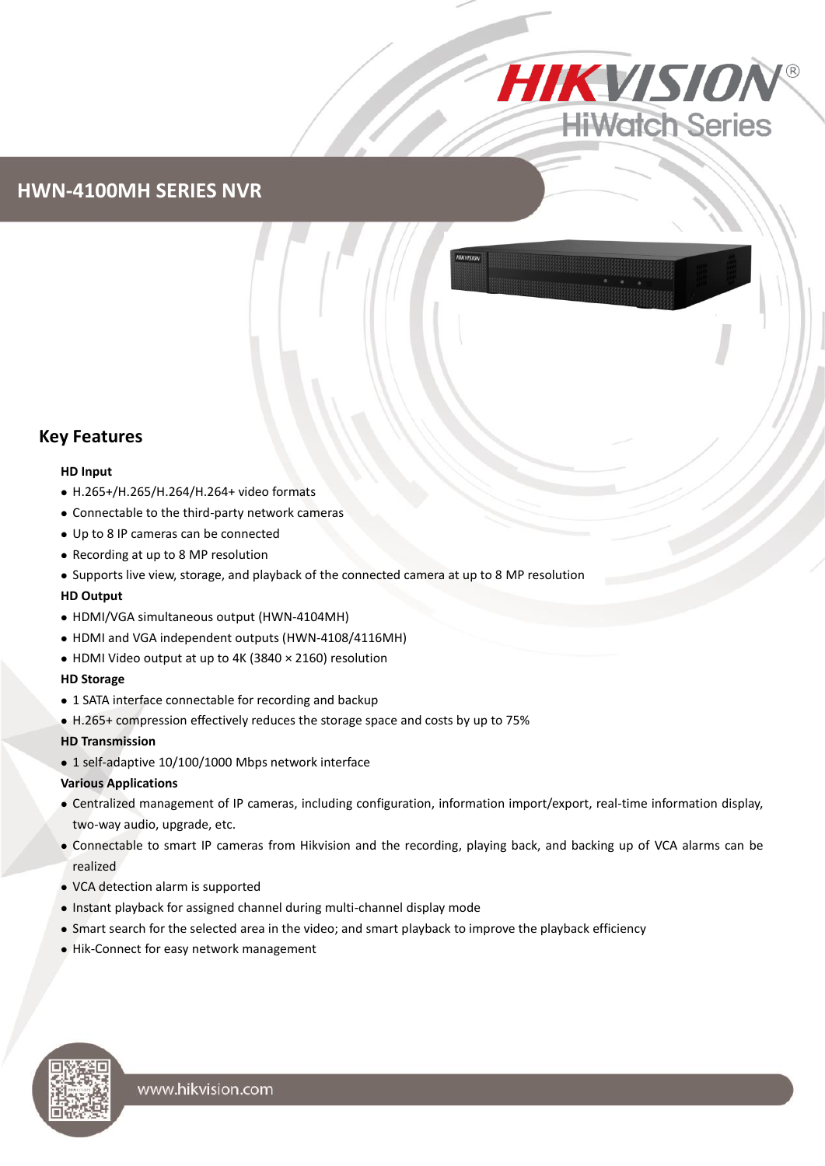

## **HWN-4100MH SERIES NVR**

### **Key Features**

#### **HD Input**

- H.265+/H.265/H.264/H.264+ video formats
- Connectable to the third-party network cameras
- Up to 8 IP cameras can be connected
- Recording at up to 8 MP resolution
- Supports live view, storage, and playback of the connected camera at up to 8 MP resolution

#### **HD Output**

- HDMI/VGA simultaneous output (HWN-4104MH)
- HDMI and VGA independent outputs (HWN-4108/4116MH)
- HDMI Video output at up to 4K (3840 × 2160) resolution

#### **HD Storage**

- 1 SATA interface connectable for recording and backup
- H.265+ compression effectively reduces the storage space and costs by up to 75%

#### **HD Transmission**

• 1 self-adaptive 10/100/1000 Mbps network interface

#### **Various Applications**

- Centralized management of IP cameras, including configuration, information import/export, real-time information display, two-way audio, upgrade, etc.
- Connectable to smart IP cameras from Hikvision and the recording, playing back, and backing up of VCA alarms can be realized
- VCA detection alarm is supported
- Instant playback for assigned channel during multi-channel display mode
- Smart search for the selected area in the video; and smart playback to improve the playback efficiency
- Hik-Connect for easy network management

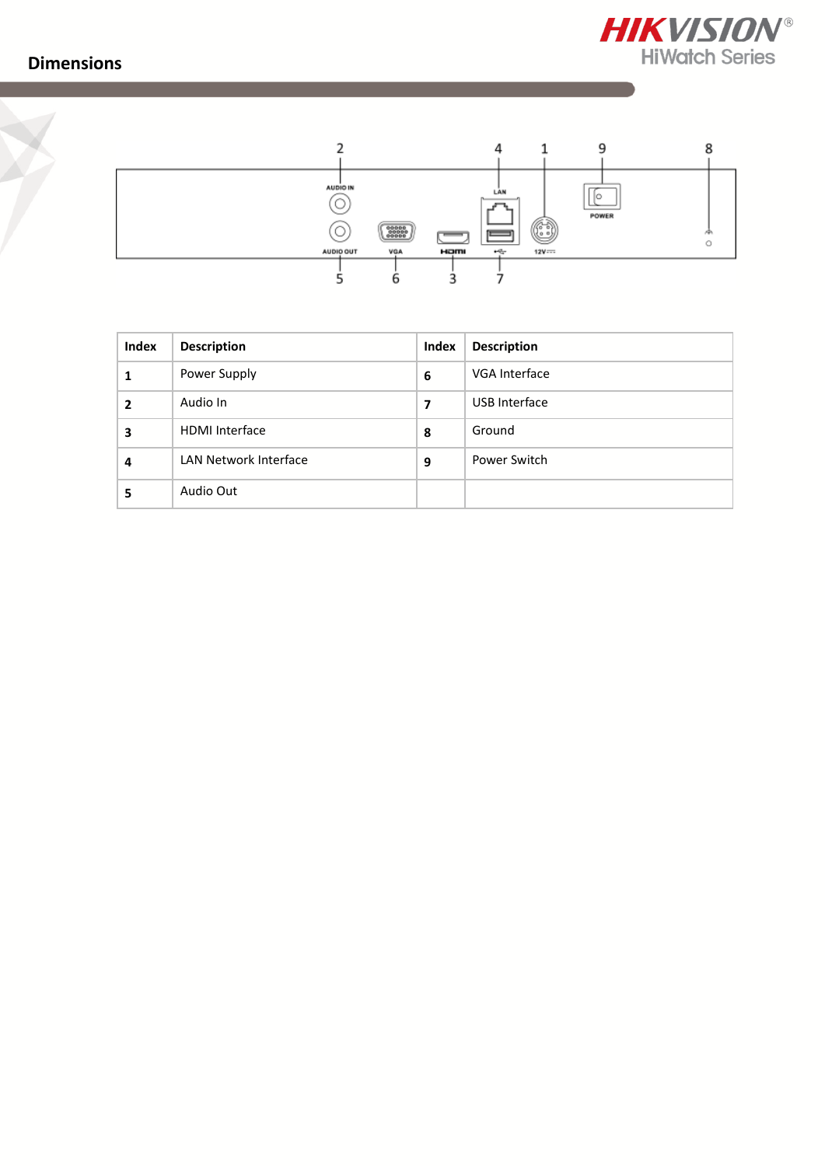**Dimensions**





| Index | <b>Description</b>    | Index | <b>Description</b> |  |
|-------|-----------------------|-------|--------------------|--|
|       | Power Supply          | 6     | VGA Interface      |  |
| 2     | Audio In              | 7     | USB Interface      |  |
| 3     | <b>HDMI</b> Interface | 8     | Ground             |  |
| 4     | LAN Network Interface | 9     | Power Switch       |  |
| 5     | Audio Out             |       |                    |  |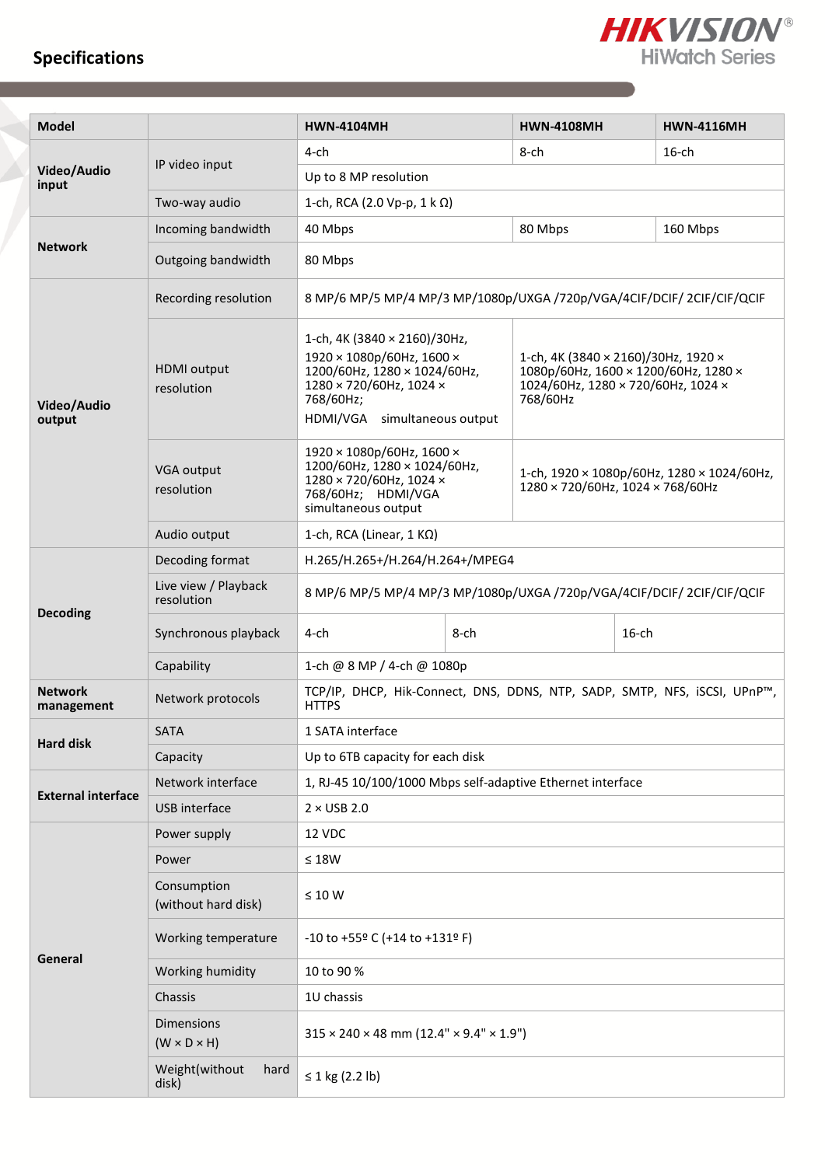# **Specifications**



| <b>Model</b>                 |                                       | <b>HWN-4104MH</b>                                                                                                                                                                    |      | <b>HWN-4108MH</b> | <b>HWN-4116MH</b>                                                                                                               |  |  |
|------------------------------|---------------------------------------|--------------------------------------------------------------------------------------------------------------------------------------------------------------------------------------|------|-------------------|---------------------------------------------------------------------------------------------------------------------------------|--|--|
|                              |                                       | $4$ -ch                                                                                                                                                                              |      | 8-ch              | $16$ -ch                                                                                                                        |  |  |
| Video/Audio<br>input         | IP video input                        | Up to 8 MP resolution                                                                                                                                                                |      |                   |                                                                                                                                 |  |  |
|                              | Two-way audio                         | 1-ch, RCA (2.0 Vp-p, 1 k Ω)                                                                                                                                                          |      |                   |                                                                                                                                 |  |  |
|                              | Incoming bandwidth                    | 40 Mbps                                                                                                                                                                              |      | 80 Mbps           | 160 Mbps                                                                                                                        |  |  |
| <b>Network</b>               | Outgoing bandwidth                    | 80 Mbps                                                                                                                                                                              |      |                   |                                                                                                                                 |  |  |
|                              | Recording resolution                  | 8 MP/6 MP/5 MP/4 MP/3 MP/1080p/UXGA /720p/VGA/4CIF/DCIF/ 2CIF/CIF/QCIF                                                                                                               |      |                   |                                                                                                                                 |  |  |
| Video/Audio<br>output        | <b>HDMI</b> output<br>resolution      | 1-ch, 4K (3840 $\times$ 2160)/30Hz,<br>1920 × 1080p/60Hz, 1600 ×<br>1200/60Hz, 1280 × 1024/60Hz,<br>1280 × 720/60Hz, 1024 ×<br>768/60Hz<br>768/60Hz;<br>HDMI/VGA simultaneous output |      |                   | 1-ch, 4K (3840 $\times$ 2160)/30Hz, 1920 $\times$<br>1080p/60Hz, 1600 × 1200/60Hz, 1280 ×<br>1024/60Hz, 1280 × 720/60Hz, 1024 × |  |  |
|                              | <b>VGA output</b><br>resolution       | 1920 × 1080p/60Hz, 1600 ×<br>1200/60Hz, 1280 × 1024/60Hz,<br>1280 × 720/60Hz, 1024 ×<br>768/60Hz; HDMI/VGA<br>simultaneous output                                                    |      |                   | 1-ch, 1920 × 1080p/60Hz, 1280 × 1024/60Hz,<br>1280 × 720/60Hz, 1024 × 768/60Hz                                                  |  |  |
|                              | Audio output                          | 1-ch, RCA (Linear, $1 K\Omega$ )                                                                                                                                                     |      |                   |                                                                                                                                 |  |  |
|                              | Decoding format                       | H.265/H.265+/H.264/H.264+/MPEG4                                                                                                                                                      |      |                   |                                                                                                                                 |  |  |
| <b>Decoding</b>              | Live view / Playback<br>resolution    | 8 MP/6 MP/5 MP/4 MP/3 MP/1080p/UXGA /720p/VGA/4CIF/DCIF/ 2CIF/CIF/QCIF                                                                                                               |      |                   |                                                                                                                                 |  |  |
|                              | Synchronous playback                  | 4-ch                                                                                                                                                                                 | 8-ch |                   | $16$ -ch                                                                                                                        |  |  |
|                              | Capability                            | 1-ch @ 8 MP / 4-ch @ 1080p                                                                                                                                                           |      |                   |                                                                                                                                 |  |  |
| <b>Network</b><br>management | Network protocols                     | TCP/IP, DHCP, Hik-Connect, DNS, DDNS, NTP, SADP, SMTP, NFS, iSCSI, UPnP™,<br><b>HTTPS</b>                                                                                            |      |                   |                                                                                                                                 |  |  |
| <b>Hard disk</b>             | <b>SATA</b>                           | 1 SATA interface                                                                                                                                                                     |      |                   |                                                                                                                                 |  |  |
|                              | Capacity                              | Up to 6TB capacity for each disk                                                                                                                                                     |      |                   |                                                                                                                                 |  |  |
| <b>External interface</b>    | Network interface                     | 1, RJ-45 10/100/1000 Mbps self-adaptive Ethernet interface                                                                                                                           |      |                   |                                                                                                                                 |  |  |
|                              | USB interface                         | $2 \times$ USB 2.0                                                                                                                                                                   |      |                   |                                                                                                                                 |  |  |
|                              | Power supply                          | 12 VDC                                                                                                                                                                               |      |                   |                                                                                                                                 |  |  |
|                              | Power                                 | $\leq 18W$                                                                                                                                                                           |      |                   |                                                                                                                                 |  |  |
|                              | Consumption<br>(without hard disk)    | $\leq 10 W$                                                                                                                                                                          |      |                   |                                                                                                                                 |  |  |
| General                      | Working temperature                   | -10 to +55º C (+14 to +131º F)                                                                                                                                                       |      |                   |                                                                                                                                 |  |  |
|                              | Working humidity                      | 10 to 90 %                                                                                                                                                                           |      |                   |                                                                                                                                 |  |  |
|                              | Chassis                               | 1U chassis                                                                                                                                                                           |      |                   |                                                                                                                                 |  |  |
|                              | Dimensions<br>$(W \times D \times H)$ | $315 \times 240 \times 48$ mm (12.4" $\times$ 9.4" $\times$ 1.9")                                                                                                                    |      |                   |                                                                                                                                 |  |  |
|                              | Weight(without<br>hard<br>disk)       | ≤ 1 kg (2.2 lb)                                                                                                                                                                      |      |                   |                                                                                                                                 |  |  |